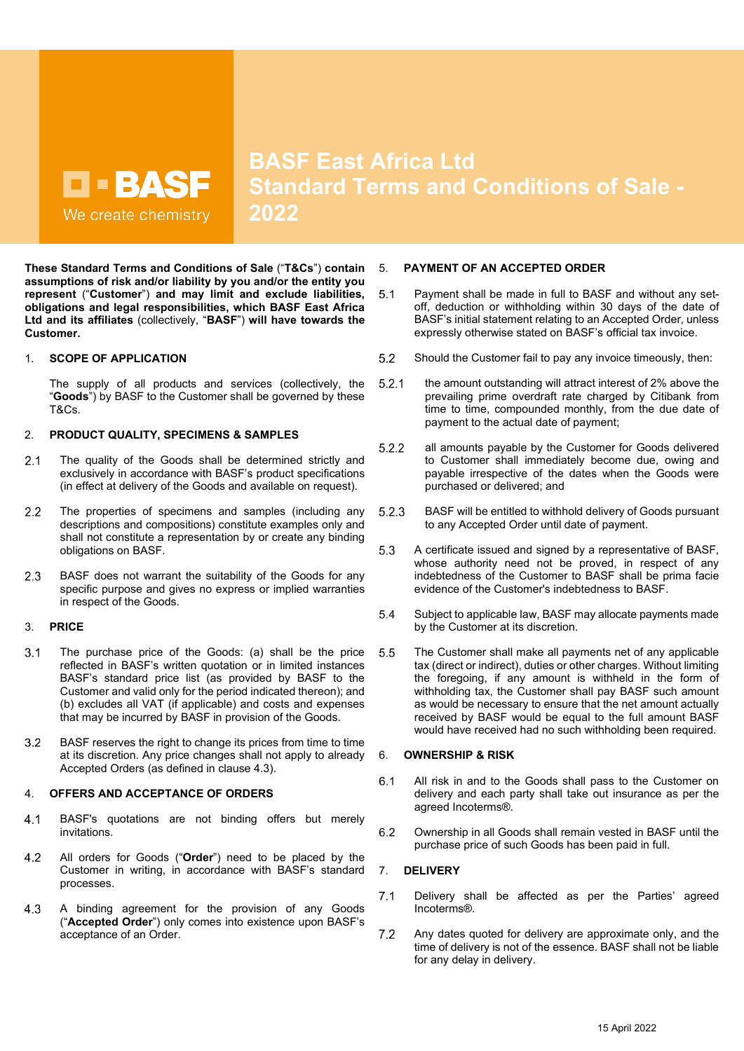**BASF East Africa Ltd Standard Terms and Conditions of Sale - 2022**

**These Standard Terms and Conditions of Sale** ("**T&Cs**") **contain assumptions of risk and/or liability by you and/or the entity you represent** ("**Customer**") **and may limit and exclude liabilities, obligations and legal responsibilities, which BASF East Africa Ltd and its affiliates** (collectively, "**BASF**") **will have towards the Customer.**

# 1. **SCOPE OF APPLICATION**

The supply of all products and services (collectively, the "**Goods**") by BASF to the Customer shall be governed by these T&Cs.

# 2. **PRODUCT QUALITY, SPECIMENS & SAMPLES**

- $2.1$ The quality of the Goods shall be determined strictly and exclusively in accordance with BASF's product specifications (in effect at delivery of the Goods and available on request).
- $2.2$ The properties of specimens and samples (including any descriptions and compositions) constitute examples only and shall not constitute a representation by or create any binding obligations on BASF.
- $2.3$ BASF does not warrant the suitability of the Goods for any specific purpose and gives no express or implied warranties in respect of the Goods.

# 3. **PRICE**

- $3.1$ The purchase price of the Goods: (a) shall be the price reflected in BASF's written quotation or in limited instances BASF's standard price list (as provided by BASF to the Customer and valid only for the period indicated thereon); and (b) excludes all VAT (if applicable) and costs and expenses that may be incurred by BASF in provision of the Goods.
- BASF reserves the right to change its prices from time to time  $3.2$ at its discretion. Any price changes shall not apply to already Accepted Orders (as defined in clause [4.3\)](#page-0-0).

# 4. **OFFERS AND ACCEPTANCE OF ORDERS**

- $4.1$ BASF's quotations are not binding offers but merely invitations.
- $4.2$ All orders for Goods ("**Order**") need to be placed by the Customer in writing, in accordance with BASF's standard processes.
- <span id="page-0-0"></span> $4.3$ A binding agreement for the provision of any Goods ("**Accepted Order**") only comes into existence upon BASF's acceptance of an Order.

# 5. **PAYMENT OF AN ACCEPTED ORDER**

- $5.1$ Payment shall be made in full to BASF and without any setoff, deduction or withholding within 30 days of the date of BASF's initial statement relating to an Accepted Order, unless expressly otherwise stated on BASF's official tax invoice.
- 5.2 Should the Customer fail to pay any invoice timeously, then:
- $5.2.1$ the amount outstanding will attract interest of 2% above the prevailing prime overdraft rate charged by Citibank from time to time, compounded monthly, from the due date of payment to the actual date of payment;
- all amounts payable by the Customer for Goods delivered  $5.2.2$ to Customer shall immediately become due, owing and payable irrespective of the dates when the Goods were purchased or delivered; and
- $5.2.3$ BASF will be entitled to withhold delivery of Goods pursuant to any Accepted Order until date of payment.
- 5.3 A certificate issued and signed by a representative of BASF, whose authority need not be proved, in respect of any indebtedness of the Customer to BASF shall be prima facie evidence of the Customer's indebtedness to BASF.
- 5.4 Subject to applicable law, BASF may allocate payments made by the Customer at its discretion.
- 5.5 The Customer shall make all payments net of any applicable tax (direct or indirect), duties or other charges. Without limiting the foregoing, if any amount is withheld in the form of withholding tax, the Customer shall pay BASF such amount as would be necessary to ensure that the net amount actually received by BASF would be equal to the full amount BASF would have received had no such withholding been required.

# 6. **OWNERSHIP & RISK**

- $6.1$ All risk in and to the Goods shall pass to the Customer on delivery and each party shall take out insurance as per the agreed Incoterms®.
- 6.2 Ownership in all Goods shall remain vested in BASF until the purchase price of such Goods has been paid in full.

# 7. **DELIVERY**

- $7.1$ Delivery shall be affected as per the Parties' agreed Incoterms®.
- $7.2$ Any dates quoted for delivery are approximate only, and the time of delivery is not of the essence. BASF shall not be liable for any delay in delivery.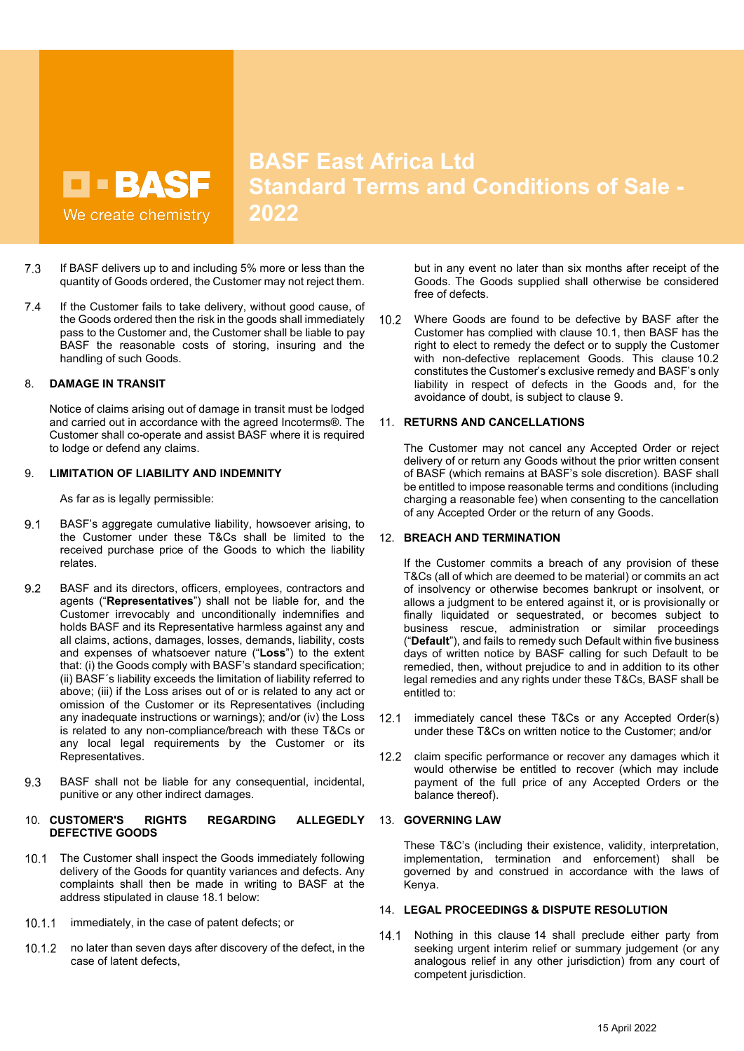**BASF East Africa Ltd Standard Terms and Conditions of Sale - 2022**

- $7.3$ If BASF delivers up to and including 5% more or less than the quantity of Goods ordered, the Customer may not reject them.
- $7.4$ If the Customer fails to take delivery, without good cause, of the Goods ordered then the risk in the goods shall immediately pass to the Customer and, the Customer shall be liable to pay BASF the reasonable costs of storing, insuring and the handling of such Goods.

# 8. **DAMAGE IN TRANSIT**

Notice of claims arising out of damage in transit must be lodged and carried out in accordance with the agreed Incoterms®. The Customer shall co-operate and assist BASF where it is required to lodge or defend any claims.

# <span id="page-1-2"></span>9. **LIMITATION OF LIABILITY AND INDEMNITY**

As far as is legally permissible:

- $9.1$ BASF's aggregate cumulative liability, howsoever arising, to the Customer under these T&Cs shall be limited to the received purchase price of the Goods to which the liability relates.
- 9.2 BASF and its directors, officers, employees, contractors and agents ("**Representatives**") shall not be liable for, and the Customer irrevocably and unconditionally indemnifies and holds BASF and its Representative harmless against any and all claims, actions, damages, losses, demands, liability, costs and expenses of whatsoever nature ("**Loss**") to the extent that: (i) the Goods comply with BASF's standard specification; (ii) BASF´s liability exceeds the limitation of liability referred to above; (iii) if the Loss arises out of or is related to any act or omission of the Customer or its Representatives (including any inadequate instructions or warnings); and/or (iv) the Loss is related to any non-compliance/breach with these T&Cs or any local legal requirements by the Customer or its Representatives.
- 9.3 BASF shall not be liable for any consequential, incidental, punitive or any other indirect damages.

#### 10. **CUSTOMER'S RIGHTS REGARDING ALLEGEDLY DEFECTIVE GOODS**

- <span id="page-1-0"></span>10.1 The Customer shall inspect the Goods immediately following delivery of the Goods for quantity variances and defects. Any complaints shall then be made in writing to BASF at the address stipulated in clause [18.1](#page-3-0) below:
- 10.1.1 immediately, in the case of patent defects; or
- 10.1.2 no later than seven days after discovery of the defect, in the case of latent defects,

but in any event no later than six months after receipt of the Goods. The Goods supplied shall otherwise be considered free of defects.

<span id="page-1-1"></span>Where Goods are found to be defective by BASF after the  $10.2$ Customer has complied with clause [10.1,](#page-1-0) then BASF has the right to elect to remedy the defect or to supply the Customer with non-defective replacement Goods. This clause [10.2](#page-1-1) constitutes the Customer's exclusive remedy and BASF's only liability in respect of defects in the Goods and, for the avoidance of doubt, is subject to clause [9.](#page-1-2)

#### 11. **RETURNS AND CANCELLATIONS**

The Customer may not cancel any Accepted Order or reject delivery of or return any Goods without the prior written consent of BASF (which remains at BASF's sole discretion). BASF shall be entitled to impose reasonable terms and conditions (including charging a reasonable fee) when consenting to the cancellation of any Accepted Order or the return of any Goods.

#### 12. **BREACH AND TERMINATION**

If the Customer commits a breach of any provision of these T&Cs (all of which are deemed to be material) or commits an act of insolvency or otherwise becomes bankrupt or insolvent, or allows a judgment to be entered against it, or is provisionally or finally liquidated or sequestrated, or becomes subject to business rescue, administration or similar proceedings ("**Default**"), and fails to remedy such Default within five business days of written notice by BASF calling for such Default to be remedied, then, without prejudice to and in addition to its other legal remedies and any rights under these T&Cs, BASF shall be entitled to:

- $12.1$ immediately cancel these T&Cs or any Accepted Order(s) under these T&Cs on written notice to the Customer; and/or
- $12.2$ claim specific performance or recover any damages which it would otherwise be entitled to recover (which may include payment of the full price of any Accepted Orders or the balance thereof).

#### 13. **GOVERNING LAW**

These T&C's (including their existence, validity, interpretation, implementation, termination and enforcement) shall be governed by and construed in accordance with the laws of Kenya.

#### <span id="page-1-3"></span>14. **LEGAL PROCEEDINGS & DISPUTE RESOLUTION**

Nothing in this clause [14](#page-1-3) shall preclude either party from  $14.1$ seeking urgent interim relief or summary judgement (or any analogous relief in any other jurisdiction) from any court of competent jurisdiction.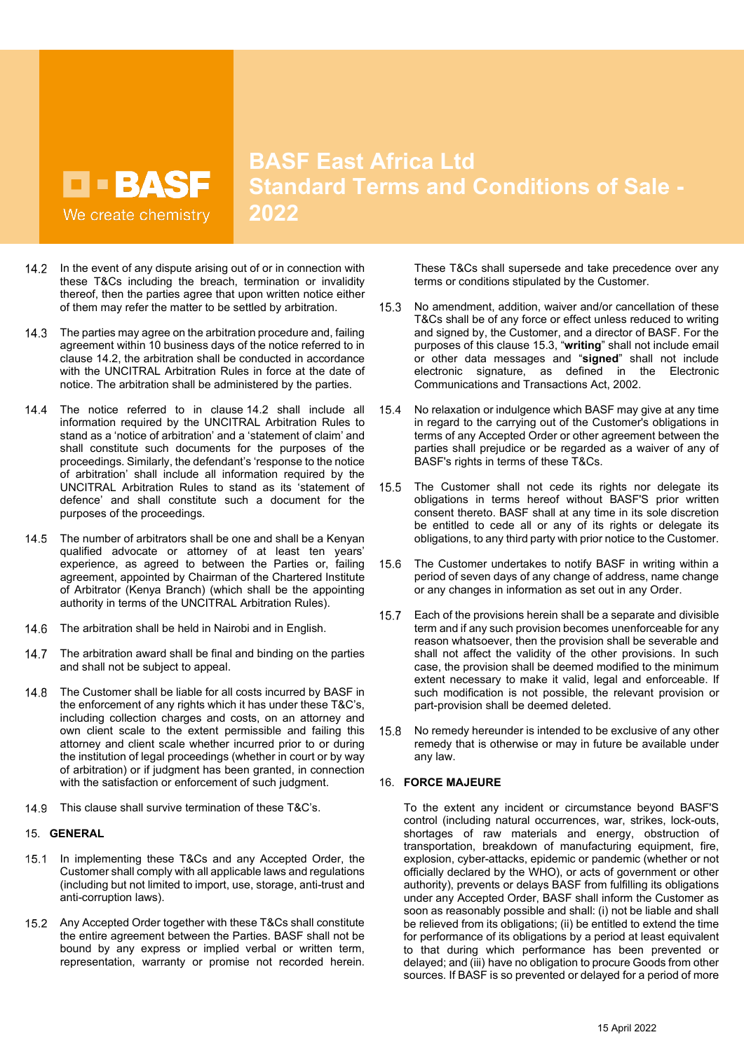**BASF East Africa Ltd Standard Terms and Conditions of Sale - 2022**

- <span id="page-2-0"></span>14.2 In the event of any dispute arising out of or in connection with these T&Cs including the breach, termination or invalidity thereof, then the parties agree that upon written notice either of them may refer the matter to be settled by arbitration.
- $14.3$ The parties may agree on the arbitration procedure and, failing agreement within 10 business days of the notice referred to in clause [14.2,](#page-2-0) the arbitration shall be conducted in accordance with the UNCITRAL Arbitration Rules in force at the date of notice. The arbitration shall be administered by the parties.
- $14.4$ The notice referred to in clause [14.2](#page-2-0) shall include all information required by the UNCITRAL Arbitration Rules to stand as a 'notice of arbitration' and a 'statement of claim' and shall constitute such documents for the purposes of the proceedings. Similarly, the defendant's 'response to the notice of arbitration' shall include all information required by the UNCITRAL Arbitration Rules to stand as its 'statement of defence' and shall constitute such a document for the purposes of the proceedings.
- 14.5 The number of arbitrators shall be one and shall be a Kenyan qualified advocate or attorney of at least ten years' experience, as agreed to between the Parties or, failing agreement, appointed by Chairman of the Chartered Institute of Arbitrator (Kenya Branch) (which shall be the appointing authority in terms of the UNCITRAL Arbitration Rules).
- 14.6 The arbitration shall be held in Nairobi and in English.
- $14.7$ The arbitration award shall be final and binding on the parties and shall not be subject to appeal.
- $14.8$ The Customer shall be liable for all costs incurred by BASF in the enforcement of any rights which it has under these T&C's, including collection charges and costs, on an attorney and own client scale to the extent permissible and failing this attorney and client scale whether incurred prior to or during the institution of legal proceedings (whether in court or by way of arbitration) or if judgment has been granted, in connection with the satisfaction or enforcement of such judgment.
- 14.9 This clause shall survive termination of these T&C's.

# 15. **GENERAL**

- 15.1 In implementing these T&Cs and any Accepted Order, the Customer shall comply with all applicable laws and regulations (including but not limited to import, use, storage, anti-trust and anti-corruption laws).
- 15.2 Any Accepted Order together with these T&Cs shall constitute the entire agreement between the Parties. BASF shall not be bound by any express or implied verbal or written term, representation, warranty or promise not recorded herein.

These T&Cs shall supersede and take precedence over any terms or conditions stipulated by the Customer.

- <span id="page-2-1"></span> $15.3$ No amendment, addition, waiver and/or cancellation of these T&Cs shall be of any force or effect unless reduced to writing and signed by, the Customer, and a director of BASF. For the purposes of this clause [15.3,](#page-2-1) "**writing**" shall not include email or other data messages and "**signed**" shall not include electronic signature, as defined in the Electronic Communications and Transactions Act, 2002.
- $154$ No relaxation or indulgence which BASF may give at any time in regard to the carrying out of the Customer's obligations in terms of any Accepted Order or other agreement between the parties shall prejudice or be regarded as a waiver of any of BASF's rights in terms of these T&Cs.
- 15.5 The Customer shall not cede its rights nor delegate its obligations in terms hereof without BASF'S prior written consent thereto. BASF shall at any time in its sole discretion be entitled to cede all or any of its rights or delegate its obligations, to any third party with prior notice to the Customer.
- 15.6 The Customer undertakes to notify BASF in writing within a period of seven days of any change of address, name change or any changes in information as set out in any Order.
- $15.7$ Each of the provisions herein shall be a separate and divisible term and if any such provision becomes unenforceable for any reason whatsoever, then the provision shall be severable and shall not affect the validity of the other provisions. In such case, the provision shall be deemed modified to the minimum extent necessary to make it valid, legal and enforceable. If such modification is not possible, the relevant provision or part-provision shall be deemed deleted.
- No remedy hereunder is intended to be exclusive of any other  $15.8$ remedy that is otherwise or may in future be available under any law.

# 16. **FORCE MAJEURE**

To the extent any incident or circumstance beyond BASF'S control (including natural occurrences, war, strikes, lock-outs, shortages of raw materials and energy, obstruction of transportation, breakdown of manufacturing equipment, fire, explosion, cyber-attacks, epidemic or pandemic (whether or not officially declared by the WHO), or acts of government or other authority), prevents or delays BASF from fulfilling its obligations under any Accepted Order, BASF shall inform the Customer as soon as reasonably possible and shall: (i) not be liable and shall be relieved from its obligations; (ii) be entitled to extend the time for performance of its obligations by a period at least equivalent to that during which performance has been prevented or delayed; and (iii) have no obligation to procure Goods from other sources. If BASF is so prevented or delayed for a period of more